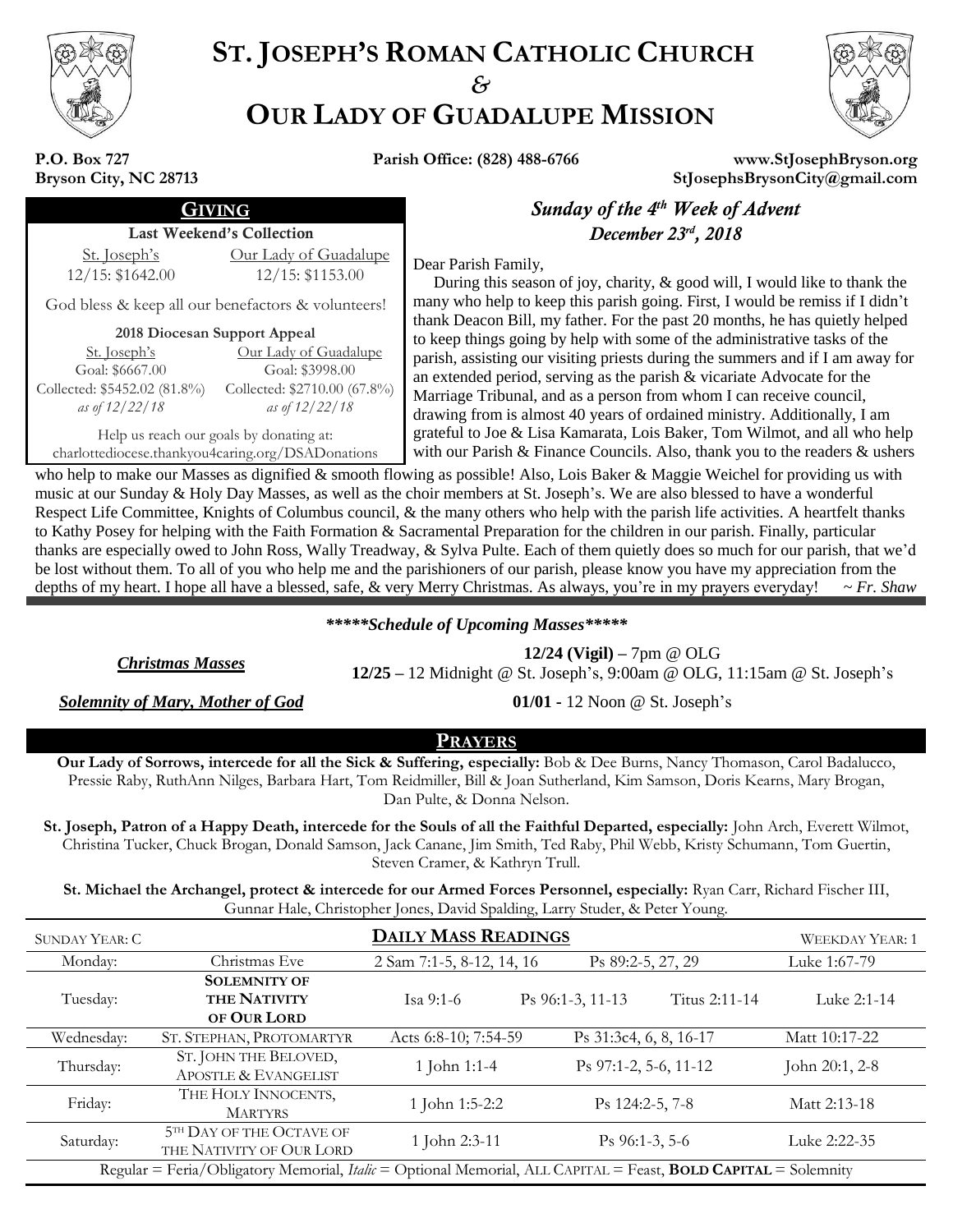

# **ST. JOSEPH'S ROMAN CATHOLIC CHURCH** *&* **OUR LADY OF GUADALUPE MISSION**



**P.O. Box 727 Bryson City, NC 28713**

**Parish Office: (828) 488-6766 www.StJosephBryson.org StJosephsBrysonCity@gmail.com**

### Last Weekend's Collection

St. Joseph's 12/15: \$1642.00

#### Our Lady of Guadalupe 12/15: \$1153.00

God bless & keep all our benefactors & volunteers!

#### **2018 Diocesan Support Appeal**

| <u>Our Lady of Guadalupe</u> |
|------------------------------|
| Goal: \$3998.00              |
| Collected: \$2710.00 (67.8%) |
| as of 12/22/18               |
|                              |

Help us reach our goals by donating at: charlottediocese.thankyou4caring.org/DSADonations

GIVING *Sunday of the 4 th Week of Advent , 2018*

Dear Parish Family,

 During this season of joy, charity, & good will, I would like to thank the many who help to keep this parish going. First, I would be remiss if I didn't thank Deacon Bill, my father. For the past 20 months, he has quietly helped to keep things going by help with some of the administrative tasks of the parish, assisting our visiting priests during the summers and if I am away for an extended period, serving as the parish & vicariate Advocate for the Marriage Tribunal, and as a person from whom I can receive council, drawing from is almost 40 years of ordained ministry. Additionally, I am grateful to Joe & Lisa Kamarata, Lois Baker, Tom Wilmot, and all who help with our Parish & Finance Councils. Also, thank you to the readers & ushers

who help to make our Masses as dignified & smooth flowing as possible! Also, Lois Baker & Maggie Weichel for providing us with music at our Sunday & Holy Day Masses, as well as the choir members at St. Joseph's. We are also blessed to have a wonderful Respect Life Committee, Knights of Columbus council, & the many others who help with the parish life activities. A heartfelt thanks to Kathy Posey for helping with the Faith Formation & Sacramental Preparation for the children in our parish. Finally, particular thanks are especially owed to John Ross, Wally Treadway, & Sylva Pulte. Each of them quietly does so much for our parish, that we'd be lost without them. To all of you who help me and the parishioners of our parish, please know you have my appreciation from the depths of my heart. I hope all have a blessed, safe, & very Merry Christmas. As always, you're in my prayers everyday! ~ *Fr. Shaw*

### *\*\*\*\*\*Schedule of Upcoming Masses\*\*\*\*\**

*Christmas Masses* **12/24 (Vigil) –** 7pm @ OLG **12/25 –** 12 Midnight @ St. Joseph's, 9:00am @ OLG, 11:15am @ St. Joseph's

*Solemnity of Mary, Mother of God* **01/01 -** 12 Noon @ St. Joseph's

### **PRAYERS**

**Our Lady of Sorrows, intercede for all the Sick & Suffering, especially:** Bob & Dee Burns, Nancy Thomason, Carol Badalucco, Pressie Raby, RuthAnn Nilges, Barbara Hart, Tom Reidmiller, Bill & Joan Sutherland, Kim Samson, Doris Kearns, Mary Brogan, Dan Pulte, & Donna Nelson.

**St. Joseph, Patron of a Happy Death, intercede for the Souls of all the Faithful Departed, especially:** John Arch, Everett Wilmot, Christina Tucker, Chuck Brogan, Donald Samson, Jack Canane, Jim Smith, Ted Raby, Phil Webb, Kristy Schumann, Tom Guertin, Steven Cramer, & Kathryn Trull.

**St. Michael the Archangel, protect & intercede for our Armed Forces Personnel, especially:** Ryan Carr, Richard Fischer III, Gunnar Hale, Christopher Jones, David Spalding, Larry Studer, & Peter Young.

| <b>SUNDAY YEAR: C</b>                                                                                                        |                                                           | <b>WEEKDAY YEAR: 1</b>    |                                   |                |  |  |
|------------------------------------------------------------------------------------------------------------------------------|-----------------------------------------------------------|---------------------------|-----------------------------------|----------------|--|--|
| Monday:                                                                                                                      | Christmas Eve                                             | 2 Sam 7:1-5, 8-12, 14, 16 | Ps 89:2-5, 27, 29                 | Luke 1:67-79   |  |  |
| Tuesday:                                                                                                                     | <b>SOLEMNITY OF</b><br><b>THE NATIVITY</b><br>OF OUR LORD | Isa 9:1-6                 | Ps 96:1-3, 11-13<br>Titus 2:11-14 | Luke 2:1-14    |  |  |
| Wednesday:                                                                                                                   | ST. STEPHAN, PROTOMARTYR                                  | Acts 6:8-10; 7:54-59      | Ps 31:3c4, 6, 8, 16-17            | Matt 10:17-22  |  |  |
| Thursday:                                                                                                                    | ST. JOHN THE BELOVED,<br>APOSTLE & EVANGELIST             | 1 John 1:1-4              | Ps 97:1-2, 5-6, 11-12             | John 20:1, 2-8 |  |  |
| Friday:                                                                                                                      | THE HOLY INNOCENTS,<br><b>MARTYRS</b>                     | 1 John 1:5-2:2            | Ps 124:2-5, 7-8                   | Matt 2:13-18   |  |  |
| Saturday:                                                                                                                    | 5TH DAY OF THE OCTAVE OF<br>THE NATIVITY OF OUR LORD      | 1 John 2:3-11             | $\mathrm{Ps}\,96:1-3,5-6$         | Luke 2:22-35   |  |  |
| Regular = Feria/Obligatory Memorial, <i>Italic</i> = Optional Memorial, ALL CAPITAL = Feast, <b>BOLD CAPITAL</b> = Solemnity |                                                           |                           |                                   |                |  |  |